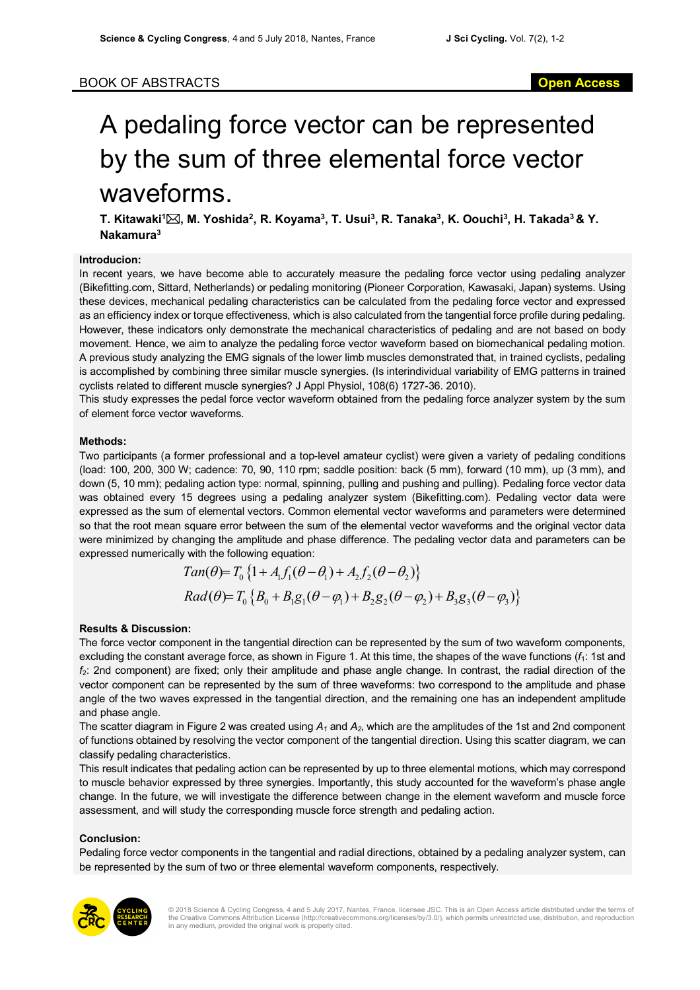# BOOK OF ABSTRACTS **Open Access**

# A pedaling force vector can be represented by the sum of three elemental force vector waveforms.

**T. Kitawaki1** \***, M. Yoshida2, R. Koyama3 , T. Usui3 , R. Tanaka3 , K. Oouchi3 , H. Takada3 & Y. Nakamura3**

## **Introducion:**

In recent years, we have become able to accurately measure the pedaling force vector using pedaling analyzer (Bikefitting.com, Sittard, Netherlands) or pedaling monitoring (Pioneer Corporation, Kawasaki, Japan) systems. Using these devices, mechanical pedaling characteristics can be calculated from the pedaling force vector and expressed as an efficiency index or torque effectiveness, which is also calculated from the tangential force profile during pedaling. However, these indicators only demonstrate the mechanical characteristics of pedaling and are not based on body movement. Hence, we aim to analyze the pedaling force vector waveform based on biomechanical pedaling motion. A previous study analyzing the EMG signals of the lower limb muscles demonstrated that, in trained cyclists, pedaling is accomplished by combining three similar muscle synergies. (Is interindividual variability of EMG patterns in trained cyclists related to different muscle synergies? J Appl Physiol, 108(6) 1727-36. 2010).

This study expresses the pedal force vector waveform obtained from the pedaling force analyzer system by the sum of element force vector waveforms.

## **Methods:**

Two participants (a former professional and a top-level amateur cyclist) were given a variety of pedaling conditions (load: 100, 200, 300 W; cadence: 70, 90, 110 rpm; saddle position: back (5 mm), forward (10 mm), up (3 mm), and down (5, 10 mm); pedaling action type: normal, spinning, pulling and pushing and pulling). Pedaling force vector data was obtained every 15 degrees using a pedaling analyzer system (Bikefitting.com). Pedaling vector data were expressed as the sum of elemental vectors. Common elemental vector waveforms and parameters were determined so that the root mean square error between the sum of the elemental vector waveforms and the original vector data were minimized by changing the amplitude and phase difference. The pedaling vector data and parameters can be expressed numerically with the following equation:

$$
Tan(\theta) = T_0 \{1 + A_1 f_1 (\theta - \theta_1) + A_2 f_2 (\theta - \theta_2) \}
$$
  
\n
$$
Rad(\theta) = T_0 \{B_0 + B_1 g_1 (\theta - \varphi_1) + B_2 g_2 (\theta - \varphi_2) + B_3 g_3 (\theta - \varphi_3) \}
$$

#### **Results & Discussion:**

The force vector component in the tangential direction can be represented by the sum of two waveform components, excluding the constant average force, as shown in Figure 1. At this time, the shapes of the wave functions ( $f_1$ : 1st and *f*2: 2nd component) are fixed; only their amplitude and phase angle change. In contrast, the radial direction of the vector component can be represented by the sum of three waveforms: two correspond to the amplitude and phase angle of the two waves expressed in the tangential direction, and the remaining one has an independent amplitude and phase angle.

The scatter diagram in Figure 2 was created using  $A_1$  and  $A_2$ , which are the amplitudes of the 1st and 2nd component of functions obtained by resolving the vector component of the tangential direction. Using this scatter diagram, we can classify pedaling characteristics.

This result indicates that pedaling action can be represented by up to three elemental motions, which may correspond to muscle behavior expressed by three synergies. Importantly, this study accounted for the waveform's phase angle change. In the future, we will investigate the difference between change in the element waveform and muscle force assessment, and will study the corresponding muscle force strength and pedaling action.

#### **Conclusion:**

Pedaling force vector components in the tangential and radial directions, obtained by a pedaling analyzer system, can be represented by the sum of two or three elemental waveform components, respectively.



© 2018 Science & Cycling Congress, 4 and 5 July 2017, Nantes, France. licensee JSC. This is an Open Access article distributed under the terms of<br>the Creative Commons Attribution License (http://creativecommons.org/license in any medium, provided the original work is properly cited.